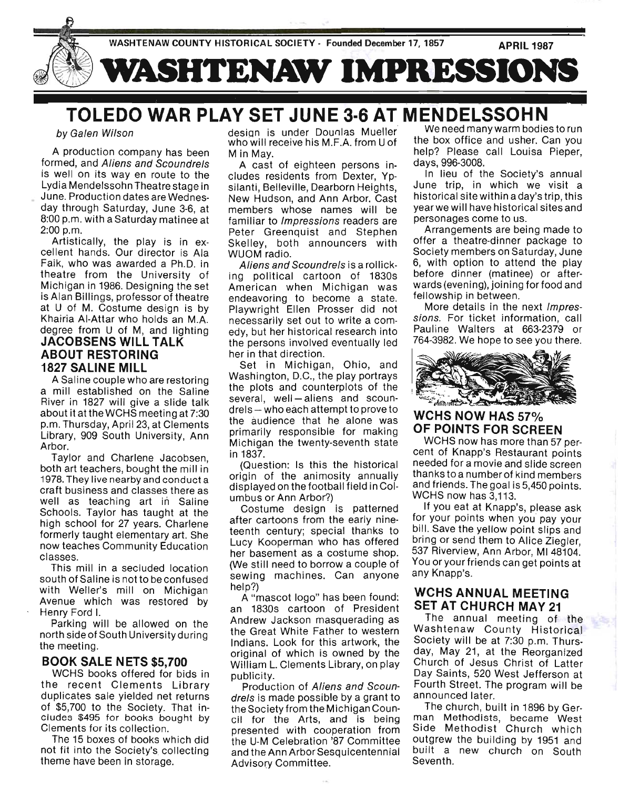

## - . - TOLEDO WAR PLAY SET JUNE 3·6 AT MENDELSSOHN

#### by Galen Wilson

A production company has been formed, and Aliens and Scoundrels is well on its way en route to the Lydia Mendelssohn Theatre stage in June. Production dates are Wednesday through Saturday, June 3-6, at 8:00 p.m. with a Saturday matinee at 2:00 p.m.

Artistically, the play is in excellent hands. Our director is Ala Faik, who was awarded a Ph.D. in theatre from the University of Michigan in 1986. Designing the set is Alan Billings, professor of theatre at U of M. Costume design is by Khairia AI-Attar who holds an M.A. degree from U of M, and lighting JACOBSENS WILL TALK **ABOUT RESTORING** 1827 SALINE MILL

A Saline couple who are restoring a mill established on the Saline River in 1827 will give a slide talk about it at the WCHS meeting at 7:30 p.m. Thursday, April 23, at Clements Library, 909 South University, Ann Arbor.

Taylor and Charlene Jacobsen, both art teachers, bought the mill in 1978. They live nearby and conduct a craft business and classes there as well as teaching art in Saline Schools. Taylor has taught at the high school for 27 years. Charlene formerly taught elementary art. She now teaches Community Education classes.

This mill in a secluded location south of Saline is not to be confused with Weller's mill on Michigan Avenue which was restored by Henry Ford I.

Parking will be allowed on the north side of South University during the meeting.

#### BOOK SALE NETS \$5,700

WCHS books offered for bids in the recent Clements Library duplicates sale yielded net returns of \$5,700 to the Society. That includes \$495 for books bought by Clements for its collection.

The 15 boxes of books which did not fit into the Society's collecting theme have been in storage.

desian is under Dounlas Mueller who will receive his M.F.A. from U of M in May.

A cast of eighteen persons includes residents from Dexter, Ypsilanti, Belleville, Dearborn Heights, New Hudson, and Ann Arbor. Cast members whose names will be familiar to Impressions readers are Peter Greenquist and Stephen Skelley, both announcers with WUOM radio.

Aliens and Scoundrels is a rollicking political cartoon of 1830s American when Michigan was endeavoring to become a state. Playwright Ellen Prosser did not necessarily set out to write a comedy, but her historical research into the persons involved eventually led her in that direction.

Set in Michigan, Ohio, and Washington, D.C., the play portrays the plots and counterplots of the several, well-aliens and scoundrels - who each attempt to prove to the audience that he alone was primarily responsible for making Michigan the twenty-seventh state in 1837.

(Question: Is this the historical origin of the animosity annually displayed on the football field in Columbus or Ann Arbor?)

Costume design is patterned after cartoons from the early nineteenth century; special thanks to Lucy Kooperman who has offered her basement as a costume shop. (We still need to borrow a couple of sewing machines. Can anyone help?)

A "mascot logo" has been found: an 1830s cartoon of President Andrew Jackson masquerading as the Great White Father to western Indians. Look for this artwork, the original of which is owned by the William L. Clements Library, on play publicity.

Production of Aliens and Scoundrels is made possible by a grant to the Society from the Michigan Council for the Arts, and is being presented with cooperation from the U-M Celebration '87 Committee and the Ann Arbor Sesquicentennial Advisory Committee.

We need many warm bodies to run the box office and usher. Can you help? Please call Louisa Pieper, days, 996-3008.

In lieu of the SOCiety's annual June trip, in which we visit a historical site within a day's trip, this yearwe will have historical sites and personages come to us.

Arrangements are being made to offer a theatre-dinner package to Society members on Saturday, June 6, with option to attend the play before dinner (matinee) or afterwards (evening), joining for food and fellowship in between.

More details in the next Impressions. For ticket information, call Pauline Walters at 663-2379 or 764-3982. We hope to see you there.



WCHS NOW HAS 57% OF POINTS FOR SCREEN

WCHS now has more than 57 percent of Knapp's Restaurant points needed for a movie and slide screen thanks to a number of kind members and friends. The goal is 5,450 points. WCHS now has 3,113.

If you eat at Knapp's, please ask for your points when you' pay your bill. Save the yellow point slips and bring or send them to Alice Ziegler, 537 Riverview, Ann Arbor, MI 48104. You or your friends can get points at any Knapp's.

### WCHS ANNUAL MEETING SET AT CHURCH MAY 21

The annual meeting of the Washtenaw County Historical SOCiety will be at 7:30 p.m. Thursday, May 21, at the Reorganized Church of Jesus Christ of Latter Day Saints, 520 West Jefferson at Fourth Street. The program will be announced later.

The church, built in 1896 by German Methodists, became West Side Methodist Church which outgrew the building by 1951 and built a new church on South Seventh.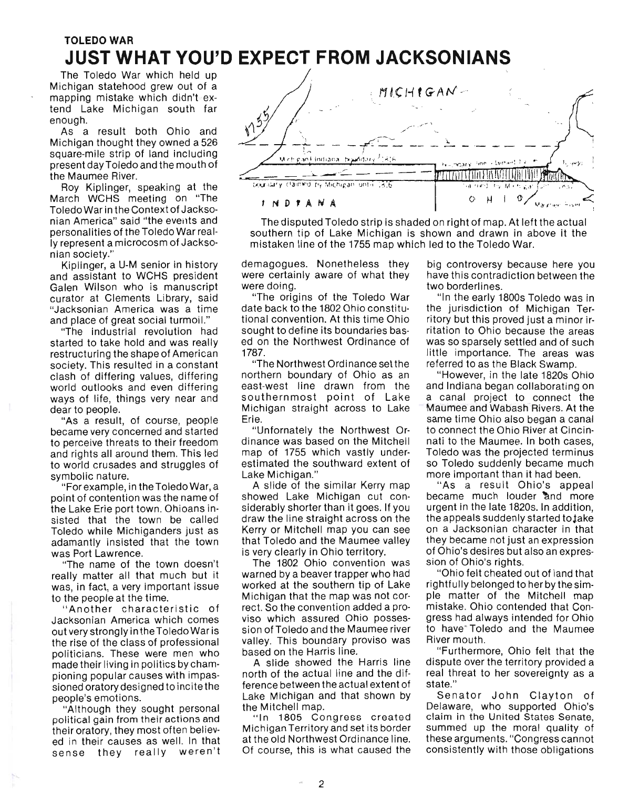# TOLEDO WAR **JUST WHAT YOU'D EXPECT FROM JACKSONIANS**

The Toledo War which held up Michigan statehood grew out of a mapping mistake which didn't extend Lake Michigan south far enough.

As a result both Ohio and Michigan thought they owned a 526 square-mile strip of land including present day Toledo and the mouth of the Maumee River.

Roy Kiplinger, speaking at the March WCHS meeting on "The Toledo War in the Context of Jacksonian America" said "the events and personalities of the Toledo War really represent a microcosm of Jacksonian society."

Kiplinger, a U-M senior in history and assistant to WCHS president Galen Wilson who is manuscript curator at Clements Library, said "Jacksonian America was a time and place of great social turmoil."

"The industrial revolution had started to take hold and was really restructuring the shape of American society. This resulted in a constant clash of differing values, differing world outlooks and even differing ways of life, things very near and dear to people.

"As a result, of course, people became very concerned and started to perceive threats to their freedom and rights all around them. This led to world crusades and struggles of symbolic nature.

"For example, in the Toledo War, a point of contention was the name of the Lake Erie port town. Ohioans insisted that the town be called Toledo while Michiganders just as adamantly insisted that the town was Port Lawrence.

"The name of the town doesn't really matter all that much but it was, in fact, a very important issue to the people at the time.

"Another characteristic of Jacksonian America which comes out very strongly in the Toledo War is the rise of the class of professional politicians. These were men who made their living in politics by championing popular causes with impassioned oratory designed to incite the people's emotions.

"Although they sought personal political gain from their actions and their oratory, they most often believed in their causes as well. In that sense they really weren't



The disputed Toledo strip is shaded on right of map. At left the actual southern tip of Lake Michigan is shown and drawn in above it the mistaken line of the 1755 map which led to the Toledo War.

demagogues. Nonetheless they were certainly aware of what they were doing.

"The origins of the Toledo War date back to the 1802 Ohio constitutional convention. At this time Ohio sought to define its boundaries based on the Northwest Ordinance of 1787.

"The Northwest Ordinance set the northern boundary of Ohio as an east-west line drawn from the southernmost point of Lake Michigan straight across to Lake Erie.

"Unfornately the Northwest Ordinance was based on the Mitchell map of 1755 which vastly underestimated the southward extent of Lake Michigan."

A slide of the similar Kerry map showed Lake Michigan cut considerably shorter than it goes. If you draw the line straight across on the Kerry or Mitchell map you can see that Toledo and the Maumee valley is very clearly in Ohio territory.

The 1802 Ohio convention was warned by a beaver trapper who had worked at the southern tip of Lake Michigan that the map was not correct. So the convention added a proviso which assured Ohio possession of Toledo and the Maumee river valley. This boundary proviso was based on the Harris line.

A slide showed the Harris line north of the actual line and the difference between the actual extent of Lake Michigan and that shown by the Mitchell map.

"In 1805 Congress created Michigan Territory and set its border at the old Northwest Ordinance line. Of course, this is what caused the

big controversy because here you have this contradiction between the two borderlines.

"In the early 1800s Toledo was in the jurisdiction of Michigan Territory but this proved just a minor irritation to Ohio because the areas was so sparsely settled and of such little importance. The areas was referred to as the Black Swamp.

"However, in the late 1820s Ohio and Indiana began collaborating on a canal project to connect the Maumee and Wabash Rivers. At the same time Ohio also began a canal to connect the Ohio River at Cincinnati to the Maumee. In both cases, Toledo was the projected terminus so Toledo suddenly became much more important than it had been.

"As a result Ohio's appeal became much louder and more urgent in the late 1820s. In addition, the appeals suddenly started to jake on a Jacksonian character in that they became not just an expression of Ohio's desires but also an expression of Ohio's rights.

"Ohio felt cheated out of land that rightfully belonged to her by the simple matter of the Mitchell map mistake. Ohio contended that Congress had always intended for Ohio to have Toledo and the Maumee River mouth.

"Furthermore, Ohio felt that the dispute over the territory provided a real threat to her sovereignty as a state."

Senator John Clayton of Delaware, who supported Ohio's claim in the United States Senate, summed up the moral quality of these arguments. "Congress cannot consistently with those obligations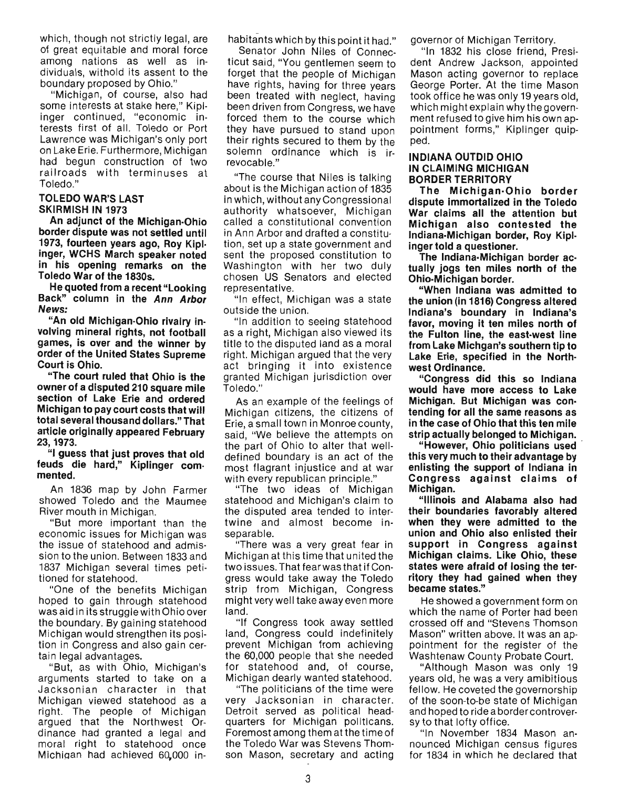which, though not strictly legal, are of great equitable and moral force among nations as well as individuals, withold its assent to the boundary proposed by Ohio."

"Michigan, of course, also had some interests at stake here," Kiplinger continued, "economic interests first of all. Toledo or Port Lawrence was Michigan's only port on Lake Erie. Furthermore, Michigan had begun construction of two railroads with terminuses at Toledo."

#### TOLEDO WAR'S LAST SKIRMISH IN 1973

An adjunct of the Michigan-Ohio border dispute was not settled until 1973, fourteen years ago, Roy Kiplinger, WCHS March speaker noted in his opening remarks on the Toledo War of the 1830s.

He quoted from a recent "Looking Back" column in the Ann Arbor News:

"An old Michigan-Ohio rivalry involving mineral rights, not football games, is over and the winner by order of the United States Supreme Court is Ohio.

"The court ruled that Ohio is the owner of a disputed 210 square mile section of Lake Erie and ordered Michigan to pay court costs that will total several thousand dollars." That article originally appeared February 23,1973.

"I guess that just proves that old feuds die hard," Kiplinger commented\_

An 1836 map by John Farmer showed Toledo and the Maumee River mouth in Michigan.

"But more important than the economic issues for Michigan was the issue of statehood and admission to the union. Between 1833 and 1837 Michigan several times petitioned for statehood.

"One of the benefits Michigan hoped to gain through statehood was aid in its struggle with Ohio over the boundary. By gaining statehood Michigan would strengthen its position in Congress and also gain certain legal advantages.

"But, as with Ohio, Michigan's arguments started to take on a Jacksonian character in that Michigan viewed statehood as a right. The people of Michigan argued that the Northwest Ordinance had granted a legal and moral right to statehood once MichiQan had achieved 60,000 inhabitants which by this point it had."

Senator John Niles of Connecticut said, "You gentlemen seem to forget that the people of Michigan have rights, having for three years been treated with neglect, having been driven from Congress, we have forced them to the course which they have pursued to stand upon their rights secured to them by the solemn ordinance which is irrevocable."

"The course that Niles is talking about is the Michigan action of 1835 in which, without any Congressional authority whatsoever, Michigan called a constitutional convention in Ann Arbor and drafted a constitution, set up a state government and sent the proposed constitution to Washington with her two duly chosen US Senators and elected representative.

"In effect, Michigan was a state outside the union.

"In addition to seeing statehood as a right, Michigan also viewed its title to the disputed land as a moral right. Michigan argued that the very act bringing it into existence granted Michigan jurisdiction over Toledo."

As an example of the feelings of Michigan citizens, the citizens of Erie, a small town in Monroe county, said, "We believe the attempts on the part of Ohio to alter that welldefined boundary is an act of the most flagrant injustice and at war with every republican principle."

"The two ideas of Michigan statehood and Michigan's claim to the disputed area tended to intertwine and almost become inseparable.

"There was a very great fear in Michigan at this time that united the two issues. That fear was that if Congress would take away the Toledo strip from Michigan, Congress might very well take away even more land.

"If Congress took away settled land, Congress could indefinitely prevent Michigan from achieving the 60,000 people that she needed for statehood and, of course, Michigan dearly wanted statehood.

"The politicians of the time were very Jacksonian in character. Detroit served as political headquarters for Michigan politicans. Foremost among them at the time of the Toledo War was Stevens Thomson Mason, secretary and acting governor of Michigan Territory.

"In 1832 his close friend, President Andrew Jackson, appointed Mason acting governor to replace George Porter. At the time Mason took office he was only 19 years old, which might explain why the government refused to give him his own appointment forms," Kiplinger quipped.

#### INDIANA OUTDID OHIO IN CLAIMING MICHIGAN BORDER TERRITORY

The Michigan·Ohio border dispute immortalized in the Toledo War claims all the attention but Michigan also contested the Indiana-Michigan border, Roy Kiplinger told a questioner\_

The Indiana·Michigan border actually jogs ten miles north of the Ohio-Michigan border.

"When Indiana was admitted to the union (in 1816) Congress altered Indiana's boundary in Indiana's favor, moving it ten miles north of the Fulton line, the east·west line from Lake Michgan's southern tip to Lake Erie, specified in the Northwest Ordinance\_

"Congress did this so Indiana would have more access to Lake Michigan. But Michigan was contending for all the same reasons as in the case of Ohio that this ten mile strip actually belonged to Michigan. \_

"However, Ohio politicians used this very much to their advantage by enlisting the support of Indiana in Congress against claims of Michigan.

"Illinois and Alabama also had their boundaries favorably altered when they were admitted to the union and Ohio also enlisted their support in Congress against Michigan claims. Like Ohio, these states were afraid of losing the ter· ritory they had gained when they became states."

He showed a government form on which the name of Porter had been crossed off and "Stevens Thomson Mason" written above. It was an appOintment for the register of the Washtenaw County Probate Court.

"Although Mason was only 19 years old, he was a very amibitious fellow. He coveted the governorship of the soon-to-be state of Michigan and hoped to ride a border controversy to that lofty office.

"In November 1834 Mason announced Michigan census figures for 1834 in which he declared that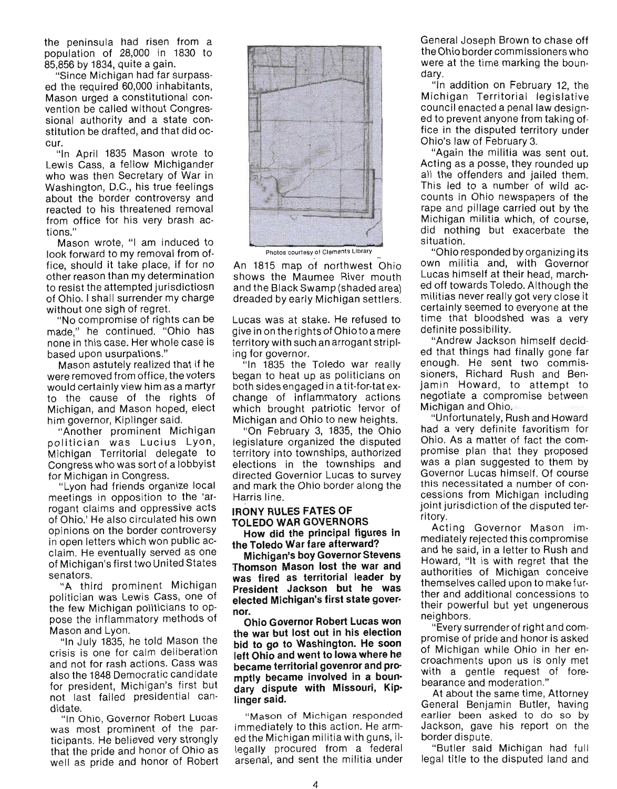the peninsula had risen from a population of 28,000 in 1830 to 85,856 by 1834, quite a gain.

"Since Michigan had far surpassed the required 60,000 inhabitants, Mason urged a constitutional convention be called without Congressional authority and a state constitution be drafted, and that did occur.

"In April 1835 Mason wrote to Lewis Cass, a fellow Michigander who was then Secretary of War in Washington, D.C., his true feelings about the border controversy and reacted to his threatened removal from office for his very brash actions."

Mason wrote, "I am induced to look forward to my removal from office, should it take place, if for no other reason than my determination to resist the attempted jurisdictiosn of Ohio. I shall surrender my charge without one sigh of regret.

"No compromise of rights can be made," he continued. "Ohio has none in this case. Her whole case is based upon usurpations."

Mason astutely realized that if he were removed from office, the voters would certainly view him as a martyr to the cause of the rights of Michigan, and Mason hoped, elect him governor, Kiplinger said.

"Another prominent Michigan politician was Lucius Lyon, Michigan Territorial delegate to Congress who was sort of a lobbyist for Michigan in Congress.

"Lyon had friends organize local meetings in opposition to the 'arrogant claims and oppressive acts of Ohio.' He also circulated his own opinions on the border controversy in open letters which won public acclaim. He eventually served as one of Michigan's first two United States senators.

"A third prominent Michigan politician was Lewis Cass, one of the few Michigan politicians to oppose the inflammatory methods of Mason and Lyon.

"In July 1835, he told Mason the crisis is one for calm deliberation and not for rash actions. Cass was also the 1848 Democratic candidate for president, Michigan's first but not last failed presidential candidate.

"In OhiO, Governor Robert Lucas was most prominent of the participants. He believed very strongly that the pride and honor of Ohio as well as pride and honor of Robert



Photos courtesy of Clements Library

An 1815 map of northwest Ohio shows the Maumee River mouth and the Black Swamp (shaded area) dreaded by early Michigan settlers.

Lucas was at stake. He refused to give in on the rights of Ohio to a mere territory with such an arrogant stripling for governor.

"In 1835 the Toledo war really began to heat up as politicians on both sides engaged ina tit-for-tat exchange of inflammatory actions which brought patriotic fervor of Michigan and Ohio to new heights.

"On February 3, 1835, the Ohio legislature organized the disputed territory into townships, authorized elections in the townships and directed Governior Lucas to survey and mark the Ohio border along the Harris line.

#### **IRONY RULES FATES OF TOLEDO WAR GOVERNORS**

**How did the principal figures in the Toledo War fare afterward?** 

**Michigan's boy Governor Stevens Thomson Mason lost the war and was fired as territorial leader by President Jackson but he was elected Michigan's first state governor.** 

**Ohio Governor Robert Lucas won the war but lost out in his election bid to go to Washington. He soon left Ohio and went to Iowa where he became territorial govenror and pro· mptly became involved in a boun· dary dispute with Missouri, Kip· linger said.** 

"Mason of Michigan responded immediately to this action. He armed the Michigan militia with guns, illegally procured from a federal arsenal, and sent the militia under

General Joseph Brown to chase off the Ohio border commissioners who were at the time marking the boundary.

"In addition on February 12, the Michigan Territorial legislative council enacted a penal law designed to prevent anyone from taking office in the disputed territory under Ohio's law of February 3.

"Again the militia was sent out. Acting as a posse, they rounded up all the offenders and jailed them. This led to a number of wild accounts in Ohio newspapers of the rape and pillage carried out by the Michigan militia which, of course, did nothing but exacerbate the situation.

"Ohio responded by organizing its own militia and, with Governor Lucas himself at their head, marched off towards Toledo. Although the militias never really got very close it certainly seemed to everyone at the time that bloodshed was a very definite possibility.

"Andrew Jackson himself decided that things had finally gone far enough. He sent two commissioners, Richard Rush and Benjamin Howard, to attempt to negotiate a compromise between Michigan and Ohio.

"Unfortunately, Rush and Howard had a very definite favoritism for Ohio. As a matter of fact the compromise plan that they proposed was a plan suggested to them by Governor Lucas himself. Of course this necessitated a number of concessions from Michigan including joint jurisdiction of the disputed territory.

Acting Governor Mason immediately rejected this compromise and he said, in a letter to Rush and Howard, "It is with regret that the authorities of Michigan conceive themselves called upon to make further and additional concessions to their powerful but yet ungenerous neighbors.

"Every surrender of right and compromise of pride and honor is asked of Michigan while Ohio in her encroachments upon us is only met with a gentle request of forebearance and moderation."

At about the same time, Attorney General Benjamin Butler, having earlier been asked to do so by Jackson, gave his report on the border dispute.

"Butler said Michigan had full legal title to the disputed land and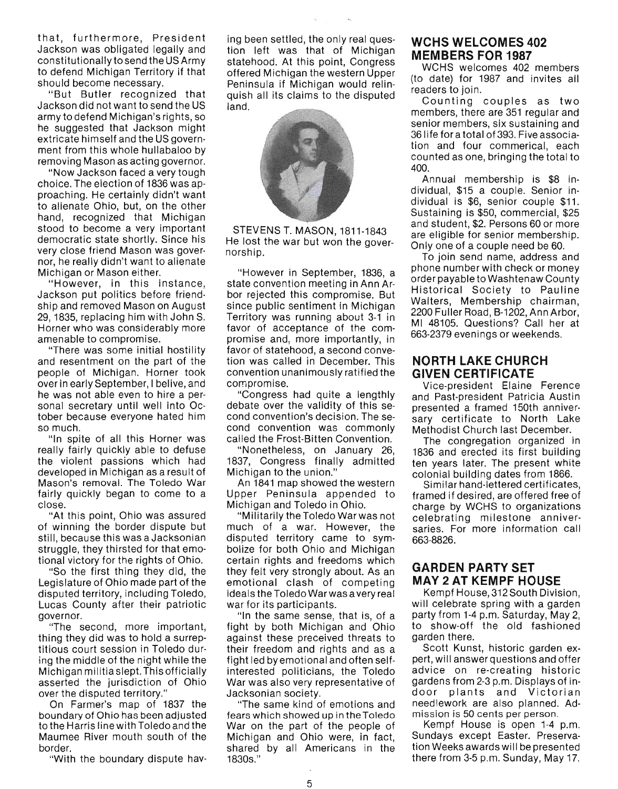that, furthermore, President Jackson was obligated legally and constitutionally to send the US Army to defend Michigan Territory if that should become necessary.

"But Butler recognized that Jackson did not want to send the US army to defend Michigan's rights, so he suggested that Jackson might extricate himself and the US government from this whole hullabaloo by removing Mason as acting governor.

"Now Jackson faced a very tough choice. The election of 1836 was approaching. He certainly didn't want to alienate Ohio, but, on the other hand, recognized that Michigan stood to become a very important democratic state shortly. Since his very close friend Mason was governor, he really didn't want to alienate Michigan or Mason either.

" However, in this instance, Jackson put politics before friendship and removed Mason on August 29, 1835, replacing him with John S. Horner who was considerably more amenable to compromise.

"There was some initial hostility and resentment on the part of the people of Michigan. Horner took over in early September, I belive, and he was not able even to hire a personal secretary until well into October because everyone hated him so much.

"In spite of all this Horner was really fairly quickly able to defuse the violent passions which had developed in Michigan as a result of Mason's removal. The Toledo War fairly quickly began to come to a close.

"At this point, Ohio was assured of winning the border dispute but still, because this was a Jacksonian struggle, they thirsted for that emotional victory for the rights of Ohio.

"So the first thing they did, the Legislature of Ohio made part of the disputed territory, including Toledo, Lucas County after their patriotic governor.

"The second, more important, thing they did was to hold a surreptitious court session in Toledo during the middle of the night while the Michigan militia slept. This officially asserted the jurisdiction of Ohio over the disputed territory."

On Farmer's map of 1837 the boundary of Ohio has been adjusted to the Harris line with Toledo and the Maumee River mouth south of the border.

"With the boundary dispute hav-

ing been settled, the only real question left was that of Michigan statehood. At this point, Congress offered Michigan the western Upper Peninsula if Michigan would relinquish all its claims to the disputed land.



STEVENS T. MASON, 1811-1843 He lost the war but won the governorship.

"However in September, 1836, a state convention meeting in Ann Arbor rejected this compromise. But since public sentiment in Michigan Territory was running about 3-1 in favor of acceptance of the compromise and, more importantly, in favor of statehood, a second convetion was called in December. This convention unanimously ratified the compromise.

"Congress had quite a lengthly debate over the validity of this second convention's decision. The second convention was commonly called the Frost-Bitten Convention.

"Nonetheless, on January 26, 1837, Congress finally admitted Michigan to the union."

An 1841 map showed the western Upper Peninsula appended to Michigan and Toledo in Ohio.

"Militarily the Toledo War was not much of a war. However, the disputed territory came to symbolize for both Ohio and Michigan certain rights and freedoms which they felt very strongly about. As an emotional clash of competing ideals the Toledo War was a very real war for its participants.

"In the same sense, that is, of a fight by both Michigan and Ohio against these preceived threats to their freedom and rights and as a fight led by emotional and often selfinterested politicians, the Toledo War was also very representative of Jacksonian society.

"The same kind of emotions and fears which showed up in the Toledo War on the part of the people of Michigan and Ohio were, in fact, shared by all Americans in the 1830s."

## **WCHS WELCOMES 402 MEMBERS FOR 1987**

WCHS welcomes 402 members (to date) for 1987 and invites all readers to join.

Counting couples as two members, there are 351 regular and senior members, six sustaining and 361ife for a total of 393. Five association and four commerical, each counted as one, bringing the total to 400.

Annual membership is \$8 individual, \$15 a couple. Senior individual is \$6, senior couple \$11 . Sustaining is \$50, commercial, \$25 and student, \$2. Persons 60 or more are eligible for senior membership. Only one of a couple need be 60.

To join send name, address and phone number with check or money order payable to Washtenaw County Historical Society to Pauline Walters, Membership chairman, 2200 Fuller Road, B-1202, Ann Arbor, MI 48105. Questions? Call her at 663-2379 evenings or weekends.

## **NORTH LAKE CHURCH GIVEN CERTIFICATE**

Vice-president Elaine Ference and Past-president Patricia Austin presented a framed 150th anniversary certificate to North Lake Methodist Church last December.

The congregation organized in 1836 and erected its first building ten years later. The present white colonial building dates from 1866.

Similar hand-lettered certificates, framed if desired, are offered free of charge by WCHS to organizations celebrating milestone anniversaries. For more information call 663-8826.

## **GARDEN PARTY SET**  MAY 2AT KEMPF HOUSE

Kempf House, 312 South Division, will celebrate spring with a garden party from 1-4 p.m. Saturday, May 2, to show-off the old fashioned garden there.

Scott Kunst, historic garden expert, will answer questions and offer advice on re-c reating historic gardens from 2-3 p.m. Displays of indoor plants and Victorian needlework are also planned. Admission is 50 cents per person.

Kempf House is open 1-4 p.m. Sundays except Easter. Preservation Weeks awards will be presented there from 3-5 p.m. Sunday, May 17.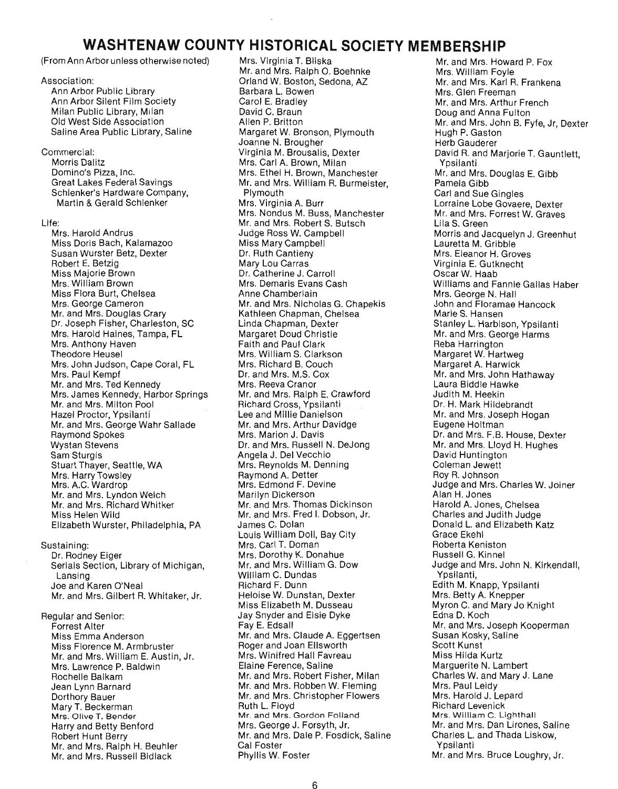# **WASHTENAW COUNTY HISTORICAL SOCIETY MEMBERSHIP**

(From Ann Arbor unless otherwise noted)

Association: Ann Arbor Public Library Ann Arbor Silent Film Society Milan Public Library, Milan Old West Side Association Saline Area Public Library, Saline

Commercial: Morris Dalitz Domino's Pizza, Inc. Great Lakes Federal Savings Schlenker's Hardware Company, Martin & Gerald Schlenker

Life: Mrs. Harold Andrus Miss Doris Bach, Kalamazoo Susan Wurster Betz, Dexter Robert E. Betzig Miss Majorie Brown Mrs. William Brown Miss Flora Burt, Chelsea Mrs. George Cameron Mr. and Mrs. Douglas Crary Dr. Joseph Fisher, Charleston, SC Mrs. Harold Haines, Tampa, FL Mrs. Anthony Haven Theodore Heusel Mrs. John Judson, Cape Coral, FL Mrs. Paul Kempf Mr. and Mrs. Ted Kennedy Mrs. James Kennedy, Harbor Springs Mr. and Mrs. Milton Pool Hazel Proctor, Ypsilanti Mr. and Mrs. George Wahr Sallade Raymond Spokes Wystan Stevens Sam Sturgis Stuart Thayer, Seattle, WA Mrs. Harry Towsley Mrs. A.C. Wardrop Mr. and Mrs. Lyndon Welch Mr. and Mrs. Richard Whitker Miss Helen Wild Elizabeth Wurster, Philadelphia, PA

Sustaining: Dr. Rodney Eiger Serials Section, Library of Michigan, Lansing Joe and Karen O'Neal Mr. and Mrs. Gilbert R. Whitaker, Jr.

Regular and Senior: Forrest Alter Miss Emma Anderson Miss Florence M. Armbruster Mr. and Mrs. William E. Austin, Jr. Mrs. Lawrence P. Baldwin Rochelle Balkam Jean Lynn Barnard Dorthory Bauer Mary T. Beckerman Mrs. Olive T. Bender Harry and Betty Benford Robert Hunt Berry Mr. and Mrs. Ralph H. Beuhler Mr. and Mrs. Russell Bidlack

Mrs. Virginia T. Bliska Mr. and Mrs. Ralph O. Boehnke Orland W. Boston, Sedona, AZ Barbara L. Bowen Carol E. Bradley David C. Braun Allen P. Britton Margaret W. Bronson, Plymouth Joanne N. Brougher Virginia M. Brousalis, Dexter Mrs. Carl A. Brown, Milan Mrs. Ethel H. Brown, Manchester Mr. and Mrs. William R. Burmeister, Plymouth Mrs. Virginia A. Burr Mrs. Nondus M. Buss, Manchester Mr. and Mrs. Robert S. Butsch Judge Ross W. Campbell Miss Mary Campbell Dr. Ruth Cantieny Mary Lou Carras Dr. Catherine J. Carroll Mrs. Demaris Evans Cash Anne Chamberlain Mr. and Mrs. Nicholas G. Chapekis Kathleen Chapman, Chelsea Linda Chapman, Dexter Margaret Doud Christie Faith and Paul Clark Mrs. William S. Clarkson Mrs. Richard B. Couch Dr. and Mrs. M.S. Cox Mrs. Reeva Cranor Mr. and Mrs. Ralph E. Crawford Richard Cross, Ypsilanti Lee and Millie Danielson Mr. and Mrs. Arthur Davidge Mrs. Marion J. Davis Dr. and Mrs. Russell N. Dejong Angela J. Del Vecchio Mrs. Reynolds M. Denning Raymond A. Detter Mrs. Edmond F. Devine Marilyn Dickerson Mr. and Mrs. Thomas Dickinson Mr. and Mrs. Fred I. Dobson, Jr. James C. Dolan Louis William Doll, Bay City Mrs. Carl T. Doman Mrs. Dorothy K. Donahue Mr. and Mrs. William G. Dow William C. Dundas Richard F. Dunn Heloise W. Dunstan, Dexter Miss Elizabeth M. Dusseau Jay Snyder and Elsie Dyke Fay E. Edsall Mr. and Mrs. Claude A. Eggertsen Roger and Joan Ellsworth Mrs. Winifred Hall Favreau Elaine Ference, Saline Mr. and Mrs. Robert Fisher, Milan Mr. and Mrs. Robben W. Fleming Mr. and Mrs. Christopher Flowers Ruth L. Floyd Mr. and Mrs. Gordon Folland Mrs. George J. Forsyth, Jr. Mr. and Mrs. Dale P. Fosdick, Saline Cal Foster Phyllis W. Foster

Mr. and Mrs. Howard P. Fox Mrs. William Foyle Mr. and Mrs. Karl R. Frankena Mrs. Glen Freeman Mr. and Mrs. Arthur French Doug and Anna Fulton Mr. and Mrs. John B. Fyfe, Jr, Dexter Hugh P. Gaston Herb Gauderer David R. and Marjorie T. Gauntlett, Ypsilanti Mr. and Mrs. Douglas E. Gibb Pamela Gibb Carl and Sue Gingles Lorraine Lobe Govaere, Dexter Mr. and Mrs. Forrest W. Graves Lila S. Green Morris and Jacquelyn J. Greenhut Lauretta M. Gribble Mrs. Eleanor H. Groves Virginia E. Gutknecht Oscar W. Haab Williams and Fannie Gallas Haber Mrs. George N. Hall John and Floramae Hancock Marie S. Hansen Stanley L. Harbison, Ypsilanti Mr. and Mrs. George Harms Reba Harrington Margaret W. Hartweg Margaret A. Harwick Mr. and Mrs. John Hathaway Laura Biddle Hawke Judith M. Heekin Dr. H. Mark Hildebrandt Mr. and Mrs. Joseph Hogan Eugene Holtman Dr. and Mrs. F.B. House, Dexter Mr. and Mrs. Lloyd H. Hughes David Huntington Coleman Jewett Roy R. Johnson Judge and Mrs. Charles W. Joiner Alan H. Jones Harold A. Jones, Chelsea Charles and Judith Judge Donald L. and Elizabeth Katz Grace Ekehl Roberta Keniston Russell G. Kinnel Judge and Mrs. John N. Kirkendall, Ypsilanti, Edith M. Knapp, Ypsilanti Mrs. Betty A. Knepper Myron C. and Mary Jo Knight Edna D. Koch Mr. and Mrs. Joseph Kooperman Susan Kosky, Saline Scott Kunst Miss Hilda Kurtz Marguerite N. Lambert Charles W. and Mary J. Lane Mrs. Paul Leidy Mrs. Harold J. Lepard Richard Levenick Mrs. William C. Lighthall Mr. and Mrs. Dan Lirones, Saline Charles L. and Thada Liskow, Ypsilanti Mr. and Mrs. Bruce Loughry, Jr.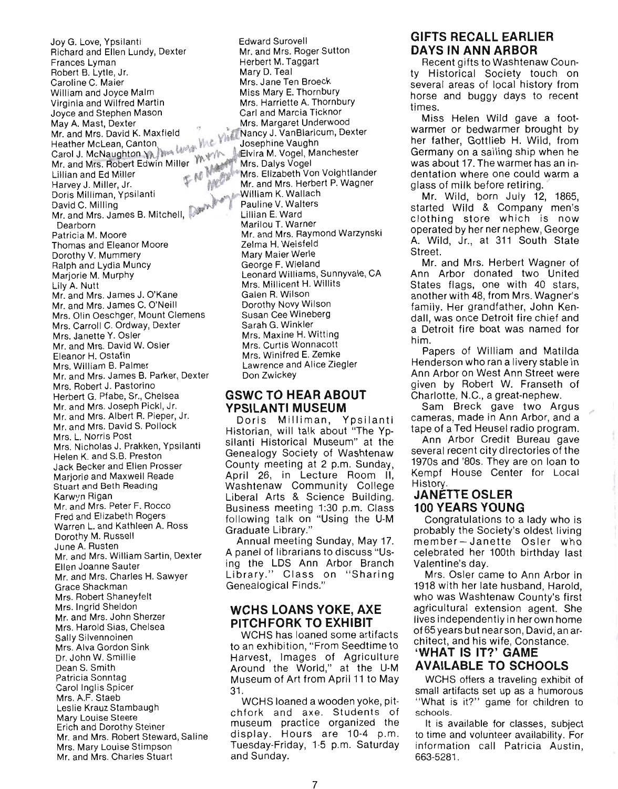$\sim$  Love,  $\sim$   $\sim$   $\sim$   $\sim$ y G. Love, rpsnanti Richard and Ellen Lundy, Dexter Frances Lyman Robert B. Lytle, Jr.<br>Caroline C. Maier aroline C. Maier<br>....  $U$ iliam and Joyce Martin $U$ Virginia and Wilfred Martin<br>Joyce and Stephen Mason we and Stephen wason.<br>... A. Mast, Dexter ay A. mast, Dexter<br>r. and Mrs. David K. Maxfield<br>eather Mal.com Centon and Mrs. David K. Maxileid<br>Josephine Vaughn & Live in McNaughn Vaughn *Van Vaughn Vaughn*<br>Chica M. Yosephine Vaughn  $M$  McNaughton  $M$ r. and Mrs. Robert Edwin Miller Harvey J. Miller, Jr. . N Harvey J. Miller, Jr. Doris Milliman, Ypsilanti<br>David C. Milling avid G. Milling.  $\Box$ and Mrs. Patricia M. Moore  $\frac{1}{2}$ atricia M. Moore omas and Eleanor Mi Dorothy V. Mummery Ralph and Lydia Muncy Marjorie M. Murphy<br>Lily A. Nutt ly A. Nutt r. and Mrs. James J.  $\cup$  Nane Mr. and Mrs. James C. O'Neill Mrs. Olin Oeschger, Mount Clemens Mrs. Carroll C. Ordway, Dexter Mrs. Janette Y. Osler Mr. and Mrs. David W. Osler Eleanor H. Ostafin<br>Mrs. William B. Palmer rs. William B. Palmer<br>Dexter, Dexter, Dexter, Dexter, Dexter, D.  $r.$  and Mrs. James B. Part Mrs. Robert J. Pastorino Herbert G. Pfabe, Sr., Chelsea Mr. and Mrs. Joseph Pickl, Jr. Mr. and Mrs. Albert R. Pieper, Jr. Mr. and Mrs. David S. Pollock Mrs. L. Norris Post Mrs. Nicholas J. Prakken, Ypsilanti Helen K. and S.B. Preston Jack Becker and Ellen Prosser Mariorie and Maxwell Reade Stuart and Beth Reading<br>Karwyn Rigan arwyn Higan $\overline{\phantom{a}}$  $r$ , and Mrs. Peter  $r$ . Rocco Fred and Elizabeth Rogers Warren L. and Kathleen A. Ross Dorothy M. Russell<br>June A. Rusten ine A. Husten<br>William Sartin, Dexter  $r$  and Mrs. William  $\infty$ Ellen Joanne Sauter Mr. and Mrs. Charles H. Sawyer Grace Shackman Mrs. Robert Shaneyfelt<br>Mrs. Ingrid Sheldon  $\mathsf{r}\mathsf{s}.$  Ingrid Sheraon  $\mathsf{S}\mathsf{h}$  $\mathsf{r}$ , and Mrs. John Sherzer Mrs. Harold Sias, Chelsea Sally Silvennoinen Mrs. Alva Gordon Sink Dr. John W. Smillie Dean S. Smith Patricia Sonntag Carol Inglis Spicer Mrs. A.F. Staeb Leslie Krauz Stambaugh Mary Louise Steere Erich and Dorothy Steiner Mr. and Mrs. Robert Steward, Saline Mrs. Mary Louise Stimpson<br>Mr. and Mrs. Charles Stuart

Edward Surovell Mr. and Mrs. Roger Sutton r, and Mis. Hoger St<br>Externe Taggart Herbert M. Taggart<br>Mary D. Teal ary D. Teal<br>Jane Ten Broeck Mis. Jane Ten Broeck<br>C. Miss E. Thornbury SS Mary E. Hounbury<br>Marriette A. Thornbury rs, Hamette A. Thompury Mrs. Margaret Underwood Nancy J. VanBlaricum, Dexter epnine vaugun<br>...M. Vogel, Manchester vira Ivi. vogel, ivia<br>... Dalvs Votel Mrs. Elizabeth Von Voight lander Mrs. Elizabeth Von Voightlander Mr. and Mrs. Herbert P. Wagner William K. Wallach Pauline V. Walters<br>Lillian E. Ward Marilou T. Warner Mr. and Mrs. Raymond Warzynski r. and Mis. Haynioi<br>Jean-Li Meisfeld Zelma H. Weisfeld<br>Mary Maier Werle George F. Wieland eorge F. Wieland<br>Carl Williams, Sunnyvale, CA March Williams, Sullity<br>Millicent H. Williams Mrs. Millicent H. Willits<br>Galen R. Wilson aien H. Wilson<br>Dorothy Novy Wilson Susan Cee Wineberg Susan Cee Wineberg<br>Sarah G. Winkler aran G. Winkler<br>... Maxine H. Witting rs. Maxine H. witting Mrs. Curtis Wonnacott<br>Mrs. Winifred E. Zemke rs. Winifred E. Zerrine<br>Lawrence and Alice Ziegler  $D$   $\overline{D}$   $\overline{D}$   $\overline{D}$   $\overline{D}$   $\overline{D}$   $\overline{D}$   $\overline{D}$   $\overline{D}$   $\overline{D}$   $\overline{D}$   $\overline{D}$   $\overline{D}$   $\overline{D}$   $\overline{D}$   $\overline{D}$   $\overline{D}$   $\overline{D}$   $\overline{D}$   $\overline{D}$   $\overline{D}$   $\overline{D}$   $\overline{D}$   $\overline{D}$   $\overline{D}$ 

#### **GSWC TO HEAR ABOUT YPSILANTI MUSEUM**

Doris Milliman, Ypsilanti Historian, will talk about "The Ypsilanti Historical Museum" at the Genealogy Society of Washtenaw County meeting at 2 p.m. Sunday, Uulity meeting at 2 p.m. Juliuay, pril 20, in Lecture nooni ii,<br>Isabtenaw Community College Washtenaw Community College Liberal Arts & Science Building. Business meeting 1:30 p.m. Class following talk on "Using the U-M<br>Graduate Library." Annual meeting Sunday, May 17.

Annual meeting Sunday, May 17. A panel of librarians to discuss "Using the LDS Ann Arbor Branch Library." Class on "Sharing<br>Genealogical Finds."

### **WCHS LOANS YOKE, AXE PITCHFORK TO EXHIBIT**

WCHS has loaned some artifacts **TO AN EXAMPLE AND THE ALTERATION** an exmontion, From Seedime to Around the World," at the U-M Museum of Art from April 11 to May Museum of Art from April 11 to May<br>31.

 $W(10 \text{ seconds})$  a wooden yoke, pitchfork and axe. Students of chfork and axe. Students of museum practice organized the display. Hours are 10-4 p.m. Tuesday-Friday, 1-5 p.m. Saturday and Sunday.

# **GIFTS RECALL EARLIER DAYS IN ANN ARBOR**

Recent gifts to Washtenaw County Historical Society touch on several areas of local history from horse and buggy days to recent times.

Miss Helen Wild gave a footwarmer or bedwarmer brought by her father, Gottlieb H. Wild, from Germany on a sailing ship when he was about 17. The warmer has an indentation where one could warm a glass of milk before retiring.

Mr. Wild, born July 12, 1865,  $s$ rted Wild & Company men's aried which a Company men's clothing store which is now<br>operated by her ner nephew, George A. Wild, Jr., at 311 South State . vviiu,<br>Staat Street.<br>Mr. and Mrs. Herbert Wagner of

Ann Arbor donated two United States flags, one with 40 stars, another with 48, from Mrs. Wagner's family. Her grandfather, John Kendall, was once Detroit fire chief and an, was once betton me chief and heu<br>... Papers of William and Matilda

Henderson who ran a livery stable in Enderson who ran a hyery stable in<br>an Arbor on West Ann Street were illi Albul Uli West Allii Otiect Wele<br>Wan by Pobert W. Franceth of given by Robert W. Franseth of<br>Charlotte, N.C., a great-nephew.

Sam Breck gave two Argus cameras, made in Ann Arbor, and a tape of a Ted Heusel radio program.

Ann Arbor Credit Bureau gave several recent city directories of the 1970s and '80s. They are on loan to Kempf House Center for Local empi n<br>istory

# **JANETTE OSLER 100 YEARS YOUNG**

Congratulations to a lady who is probably the Society's oldest living member-Janette Osler who celebrated her 100th birthday last Valentine's day.

Mrs. Osler came to Ann Arbor in 1918 with her late husband, Harold, who was Washtenaw County's first agricultural extension agent. She lives independently in her own home of 65 years but near son, David, an architect, and his wife, Constance.

## **'WHAT IS IT?' GAME AVAILABLE TO SCHOOLS**

WCHS offers a traveling exhibit of small artifacts set up as a humorous " What is it?" game for children to schools.

schools.<br>It is available for classes, subject to time and volunteer availability. For information call Patricia Austin, 663-5281.